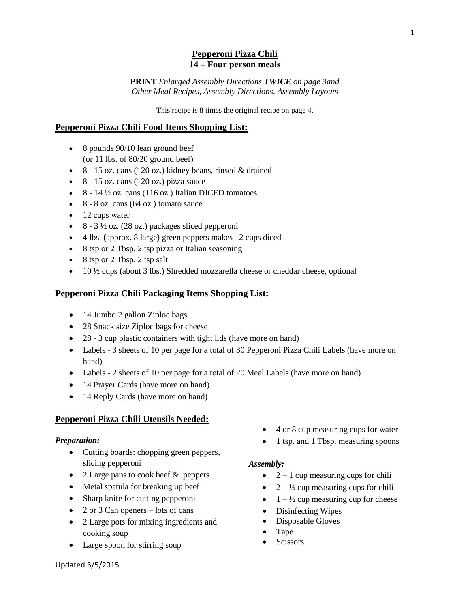#### **Pepperoni Pizza Chili 14 – Four person meals**

**PRINT** *Enlarged Assembly Directions TWICE on page 3and Other Meal Recipes, Assembly Directions, Assembly Layouts*

This recipe is 8 times the original recipe on page 4.

#### **Pepperoni Pizza Chili Food Items Shopping List:**

- 8 pounds 90/10 lean ground beef (or 11 lbs. of 80/20 ground beef)
- $\bullet$  8 15 oz. cans (120 oz.) kidney beans, rinsed & drained
- $\bullet$  8 15 oz. cans (120 oz.) pizza sauce
- $\bullet$  8 14  $\frac{1}{2}$  oz. cans (116 oz.) Italian DICED tomatoes
- $\bullet$  8 8 oz. cans (64 oz.) tomato sauce
- $\bullet$  12 cups water
- $\bullet$  8 3  $\frac{1}{2}$  oz. (28 oz.) packages sliced pepperoni
- 4 lbs. (approx. 8 large) green peppers makes 12 cups diced
- 8 tsp or 2 Tbsp. 2 tsp pizza or Italian seasoning
- $\bullet$  8 tsp or 2 Tbsp. 2 tsp salt
- $\bullet$  10  $\frac{1}{2}$  cups (about 3 lbs.) Shredded mozzarella cheese or cheddar cheese, optional

## **Pepperoni Pizza Chili Packaging Items Shopping List:**

- 14 Jumbo 2 gallon Ziploc bags
- 28 Snack size Ziploc bags for cheese
- 28 3 cup plastic containers with tight lids (have more on hand)
- Labels 3 sheets of 10 per page for a total of 30 Pepperoni Pizza Chili Labels (have more on hand)
- Labels 2 sheets of 10 per page for a total of 20 Meal Labels (have more on hand)
- 14 Prayer Cards (have more on hand)
- 14 Reply Cards (have more on hand)

#### **Pepperoni Pizza Chili Utensils Needed:**

#### *Preparation:*

- Cutting boards: chopping green peppers, slicing pepperoni
- 2 Large pans to cook beef & peppers
- Metal spatula for breaking up beef
- Sharp knife for cutting pepperoni
- 2 or 3 Can openers lots of cans
- 2 Large pots for mixing ingredients and cooking soup
- Large spoon for stirring soup
- 4 or 8 cup measuring cups for water
- 1 tsp. and 1 Tbsp. measuring spoons

#### *Assembly:*

- $\bullet$  2 1 cup measuring cups for chili
- $\bullet$  2 ¼ cup measuring cups for chili
- $\bullet$  1  $\frac{1}{2}$  cup measuring cup for cheese
- Disinfecting Wipes
- Disposable Gloves
- Tape
- **Scissors**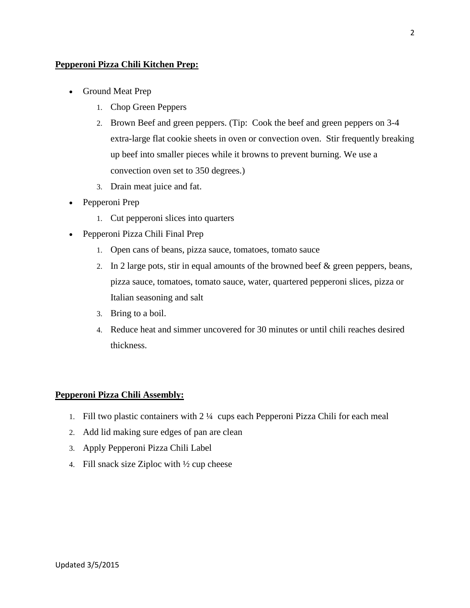#### **Pepperoni Pizza Chili Kitchen Prep:**

- Ground Meat Prep
	- 1. Chop Green Peppers
	- 2. Brown Beef and green peppers. (Tip: Cook the beef and green peppers on 3-4 extra-large flat cookie sheets in oven or convection oven. Stir frequently breaking up beef into smaller pieces while it browns to prevent burning. We use a convection oven set to 350 degrees.)
	- 3. Drain meat juice and fat.
- Pepperoni Prep
	- 1. Cut pepperoni slices into quarters
- Pepperoni Pizza Chili Final Prep
	- 1. Open cans of beans, pizza sauce, tomatoes, tomato sauce
	- 2. In 2 large pots, stir in equal amounts of the browned beef & green peppers, beans, pizza sauce, tomatoes, tomato sauce, water, quartered pepperoni slices, pizza or Italian seasoning and salt
	- 3. Bring to a boil.
	- 4. Reduce heat and simmer uncovered for 30 minutes or until chili reaches desired thickness.

#### **Pepperoni Pizza Chili Assembly:**

- 1. Fill two plastic containers with 2 ¼ cups each Pepperoni Pizza Chili for each meal
- 2. Add lid making sure edges of pan are clean
- 3. Apply Pepperoni Pizza Chili Label
- 4. Fill snack size Ziploc with  $\frac{1}{2}$  cup cheese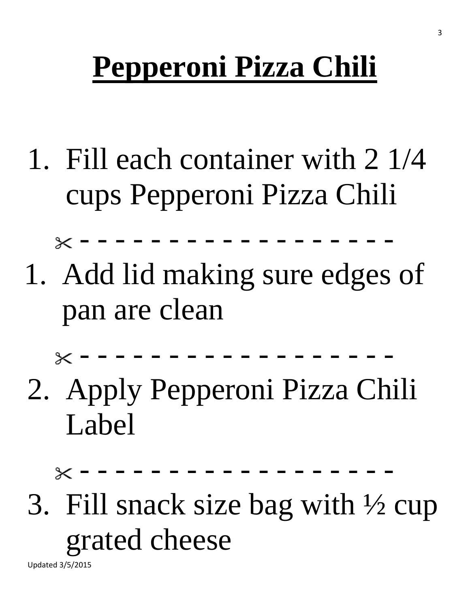# **Pepperoni Pizza Chili**

1. Fill each container with 2 1/4 cups Pepperoni Pizza Chili

- - - - - - - - - - - - - - - - - - 1. Add lid making sure edges of

pan are clean

- - - - - - - - - - - - - - - - - -

2. Apply Pepperoni Pizza Chili Label

- - - - - - - - - - - - - - - - - -

3. Fill snack size bag with ½ cup grated cheese

Updated 3/5/2015